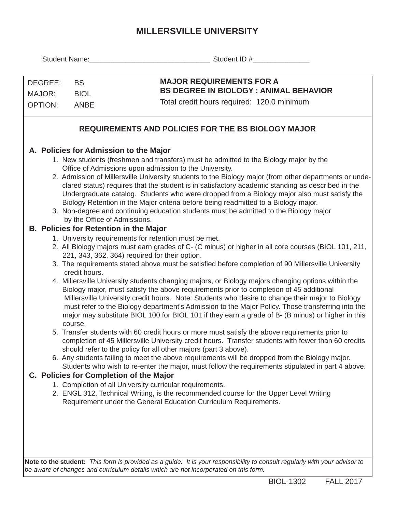## **MILLERSVILLE UNIVERSITY**

|                                                           |               | Student Name: Student ID #                                                                                                                                                                                                                                                                                                                                                                                                                                                                                                 |  |  |  |  |  |  |  |  |  |  |
|-----------------------------------------------------------|---------------|----------------------------------------------------------------------------------------------------------------------------------------------------------------------------------------------------------------------------------------------------------------------------------------------------------------------------------------------------------------------------------------------------------------------------------------------------------------------------------------------------------------------------|--|--|--|--|--|--|--|--|--|--|
|                                                           |               |                                                                                                                                                                                                                                                                                                                                                                                                                                                                                                                            |  |  |  |  |  |  |  |  |  |  |
| DEGREE:<br><b>BS</b>                                      |               | <b>MAJOR REQUIREMENTS FOR A</b>                                                                                                                                                                                                                                                                                                                                                                                                                                                                                            |  |  |  |  |  |  |  |  |  |  |
| MAJOR:<br><b>BIOL</b>                                     |               | <b>BS DEGREE IN BIOLOGY: ANIMAL BEHAVIOR</b>                                                                                                                                                                                                                                                                                                                                                                                                                                                                               |  |  |  |  |  |  |  |  |  |  |
| <b>OPTION:</b>                                            | <b>ANBE</b>   | Total credit hours required: 120.0 minimum                                                                                                                                                                                                                                                                                                                                                                                                                                                                                 |  |  |  |  |  |  |  |  |  |  |
| <b>REQUIREMENTS AND POLICIES FOR THE BS BIOLOGY MAJOR</b> |               |                                                                                                                                                                                                                                                                                                                                                                                                                                                                                                                            |  |  |  |  |  |  |  |  |  |  |
|                                                           |               | A. Policies for Admission to the Major                                                                                                                                                                                                                                                                                                                                                                                                                                                                                     |  |  |  |  |  |  |  |  |  |  |
|                                                           |               | 1. New students (freshmen and transfers) must be admitted to the Biology major by the                                                                                                                                                                                                                                                                                                                                                                                                                                      |  |  |  |  |  |  |  |  |  |  |
|                                                           |               | Office of Admissions upon admission to the University.                                                                                                                                                                                                                                                                                                                                                                                                                                                                     |  |  |  |  |  |  |  |  |  |  |
|                                                           |               | 2. Admission of Millersville University students to the Biology major (from other departments or unde-<br>clared status) requires that the student is in satisfactory academic standing as described in the<br>Undergraduate catalog. Students who were dropped from a Biology major also must satisfy the<br>Biology Retention in the Major criteria before being readmitted to a Biology major.<br>3. Non-degree and continuing education students must be admitted to the Biology major<br>by the Office of Admissions. |  |  |  |  |  |  |  |  |  |  |
|                                                           |               | <b>B. Policies for Retention in the Major</b>                                                                                                                                                                                                                                                                                                                                                                                                                                                                              |  |  |  |  |  |  |  |  |  |  |
|                                                           |               | 1. University requirements for retention must be met.                                                                                                                                                                                                                                                                                                                                                                                                                                                                      |  |  |  |  |  |  |  |  |  |  |
|                                                           |               | 2. All Biology majors must earn grades of C- (C minus) or higher in all core courses (BIOL 101, 211,                                                                                                                                                                                                                                                                                                                                                                                                                       |  |  |  |  |  |  |  |  |  |  |
|                                                           |               | 221, 343, 362, 364) required for their option.                                                                                                                                                                                                                                                                                                                                                                                                                                                                             |  |  |  |  |  |  |  |  |  |  |
|                                                           | credit hours. | 3. The requirements stated above must be satisfied before completion of 90 Millersville University                                                                                                                                                                                                                                                                                                                                                                                                                         |  |  |  |  |  |  |  |  |  |  |
|                                                           | course.       | 4. Millersville University students changing majors, or Biology majors changing options within the<br>Biology major, must satisfy the above requirements prior to completion of 45 additional<br>Millersville University credit hours. Note: Students who desire to change their major to Biology<br>must refer to the Biology department's Admission to the Major Policy. Those transferring into the<br>major may substitute BIOL 100 for BIOL 101 if they earn a grade of B- (B minus) or higher in this                |  |  |  |  |  |  |  |  |  |  |
|                                                           |               | 5. Transfer students with 60 credit hours or more must satisfy the above requirements prior to<br>completion of 45 Millersville University credit hours. Transfer students with fewer than 60 credits<br>should refer to the policy for all other majors (part 3 above).                                                                                                                                                                                                                                                   |  |  |  |  |  |  |  |  |  |  |
|                                                           |               | 6. Any students failing to meet the above requirements will be dropped from the Biology major.                                                                                                                                                                                                                                                                                                                                                                                                                             |  |  |  |  |  |  |  |  |  |  |
|                                                           |               | Students who wish to re-enter the major, must follow the requirements stipulated in part 4 above.                                                                                                                                                                                                                                                                                                                                                                                                                          |  |  |  |  |  |  |  |  |  |  |
|                                                           |               | C. Policies for Completion of the Major                                                                                                                                                                                                                                                                                                                                                                                                                                                                                    |  |  |  |  |  |  |  |  |  |  |
|                                                           |               | 1. Completion of all University curricular requirements.                                                                                                                                                                                                                                                                                                                                                                                                                                                                   |  |  |  |  |  |  |  |  |  |  |
|                                                           |               | 2. ENGL 312, Technical Writing, is the recommended course for the Upper Level Writing                                                                                                                                                                                                                                                                                                                                                                                                                                      |  |  |  |  |  |  |  |  |  |  |
|                                                           |               | Requirement under the General Education Curriculum Requirements.                                                                                                                                                                                                                                                                                                                                                                                                                                                           |  |  |  |  |  |  |  |  |  |  |
|                                                           |               |                                                                                                                                                                                                                                                                                                                                                                                                                                                                                                                            |  |  |  |  |  |  |  |  |  |  |
|                                                           |               |                                                                                                                                                                                                                                                                                                                                                                                                                                                                                                                            |  |  |  |  |  |  |  |  |  |  |
|                                                           |               |                                                                                                                                                                                                                                                                                                                                                                                                                                                                                                                            |  |  |  |  |  |  |  |  |  |  |
|                                                           |               |                                                                                                                                                                                                                                                                                                                                                                                                                                                                                                                            |  |  |  |  |  |  |  |  |  |  |

**Note to the student:** *This form is provided as a guide. It is your responsibility to consult regularly with your advisor to be aware of changes and curriculum details which are not incorporated on this form.*